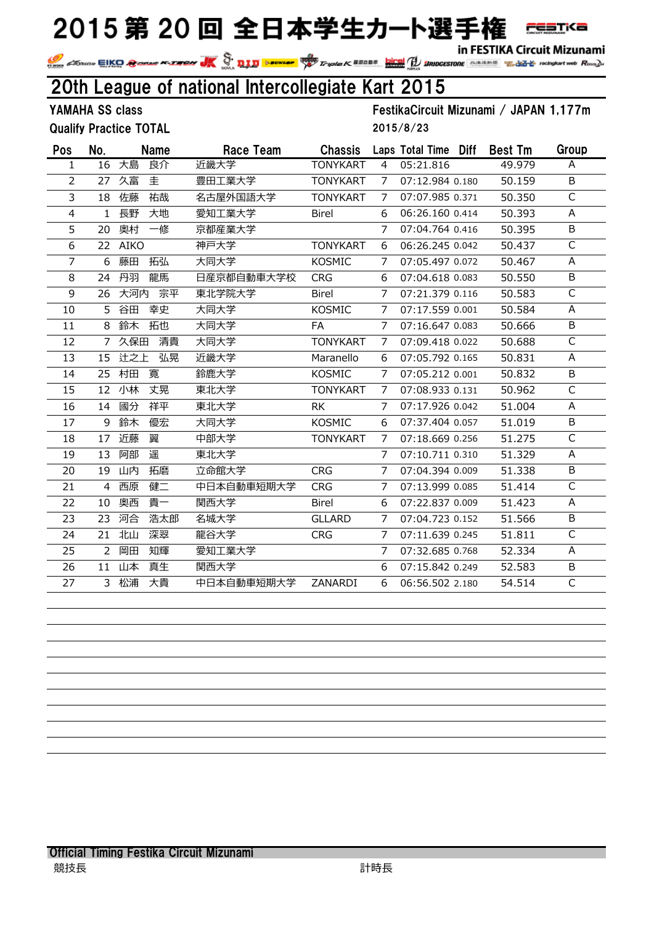in FESTIKA Circuit Mizunami

**FESTKa** 

In FESTIKA CITCUIT MIZUNAMI<br>Triple K & San De Regis Triple K & School Section of the San School Constant of the San School Constant of Register of Register of Register of Register of Register of Register of Register of Reg

## 20th League of national Intercollegiate Kart 2015

Qualify Practice TOTAL

YAMAHA SS class FestikaCircuit Mizunami / JAPAN 1,177m 2015/8/23

| Pos | No.           | <b>Name</b> | Race Team  | <b>Chassis</b>  |                | Laps Total Time Diff |  | <b>Best Tm</b> | Group |
|-----|---------------|-------------|------------|-----------------|----------------|----------------------|--|----------------|-------|
| 1   | 16            | 大島<br>良介    | 近畿大学       | <b>TONYKART</b> | 4              | 05:21.816            |  | 49.979         | A     |
| 2   | 27            | 久富<br>圭     | 豊田工業大学     | <b>TONYKART</b> | 7              | 07:12.984 0.180      |  | 50.159         | B     |
| 3   | 18            | 佐藤<br>祐哉    | 名古屋外国語大学   | <b>TONYKART</b> | 7              | 07:07.985 0.371      |  | 50.350         | C     |
| 4   | $\mathbf{1}$  | 長野<br>大地    | 愛知工業大学     | <b>Birel</b>    | 6              | 06:26.160 0.414      |  | 50.393         | A     |
| 5   | 20            | 奥村<br>一修    | 京都産業大学     |                 | 7              | 07:04.764 0.416      |  | 50.395         | B     |
| 6   | 22            | <b>AIKO</b> | 神戸大学       | <b>TONYKART</b> | 6              | 06:26.245 0.042      |  | 50.437         | C     |
| 7   | 6             | 藤田<br>拓弘    | 大同大学       | <b>KOSMIC</b>   | 7              | 07:05.497 0.072      |  | 50.467         | A     |
| 8   | 24            | 龍馬<br>丹羽    | 日産京都自動車大学校 | <b>CRG</b>      | 6              | 07:04.618 0.083      |  | 50.550         | B     |
| 9   | 26            | 宗平<br>大河内   | 東北学院大学     | <b>Birel</b>    | 7              | 07:21.379 0.116      |  | 50.583         | C     |
| 10  | 5             | 谷田<br>幸史    | 大同大学       | <b>KOSMIC</b>   | $\overline{7}$ | 07:17.559 0.001      |  | 50.584         | A     |
| 11  | 8             | 鈴木<br>拓也    | 大同大学       | FA              | 7              | 07:16.647 0.083      |  | 50.666         | B     |
| 12  | 7             | 清貴<br>久保田   | 大同大学       | <b>TONYKART</b> | 7              | 07:09.418 0.022      |  | 50.688         | C     |
| 13  | 15            | 辻之上<br>弘晃   | 近畿大学       | Maranello       | 6              | 07:05.792 0.165      |  | 50.831         | A     |
| 14  | 25            | 村田<br>寬     | 鈴鹿大学       | <b>KOSMIC</b>   | 7              | 07:05.212 0.001      |  | 50,832         | B     |
| 15  | 12            | 小林<br>丈晃    | 東北大学       | <b>TONYKART</b> | 7              | 07:08.933 0.131      |  | 50.962         | C     |
| 16  | 14            | 國分<br>祥平    | 東北大学       | <b>RK</b>       | 7              | 07:17.926 0.042      |  | 51.004         | A     |
| 17  | 9             | 鈴木<br>優宏    | 大同大学       | <b>KOSMIC</b>   | 6              | 07:37.404 0.057      |  | 51.019         | B     |
| 18  | 17            | 近藤<br>翼     | 中部大学       | <b>TONYKART</b> | 7              | 07:18.669 0.256      |  | 51.275         | C     |
| 19  | 13            | 阿部<br>遥     | 東北大学       |                 | 7              | 07:10.711 0.310      |  | 51.329         | A     |
| 20  | 19            | 山内<br>拓磨    | 立命館大学      | <b>CRG</b>      | 7              | 07:04.394 0.009      |  | 51.338         | B     |
| 21  | 4             | 西原<br>健二    | 中日本自動車短期大学 | <b>CRG</b>      | 7              | 07:13.999 0.085      |  | 51.414         | C     |
| 22  | 10            | 貴一<br>奥西    | 関西大学       | <b>Birel</b>    | 6              | 07:22.837 0.009      |  | 51.423         | Α     |
| 23  | 23            | 河合<br>浩太郎   | 名城大学       | <b>GLLARD</b>   | 7              | 07:04.723 0.152      |  | 51.566         | B     |
| 24  | 21            | 北山<br>深翠    | 龍谷大学       | <b>CRG</b>      | 7              | 07:11.639 0.245      |  | 51.811         | C     |
| 25  | $\mathcal{P}$ | 知輝<br>岡田    | 愛知工業大学     |                 | 7              | 07:32.685 0.768      |  | 52.334         | Α     |
| 26  | 11            | 山本<br>真生    | 関西大学       |                 | 6              | 07:15.842 0.249      |  | 52.583         | В     |
| 27  |               | 3 松浦<br>大貴  | 中日本自動車短期大学 | ZANARDI         | 6              | 06:56.502 2.180      |  | 54.514         | C     |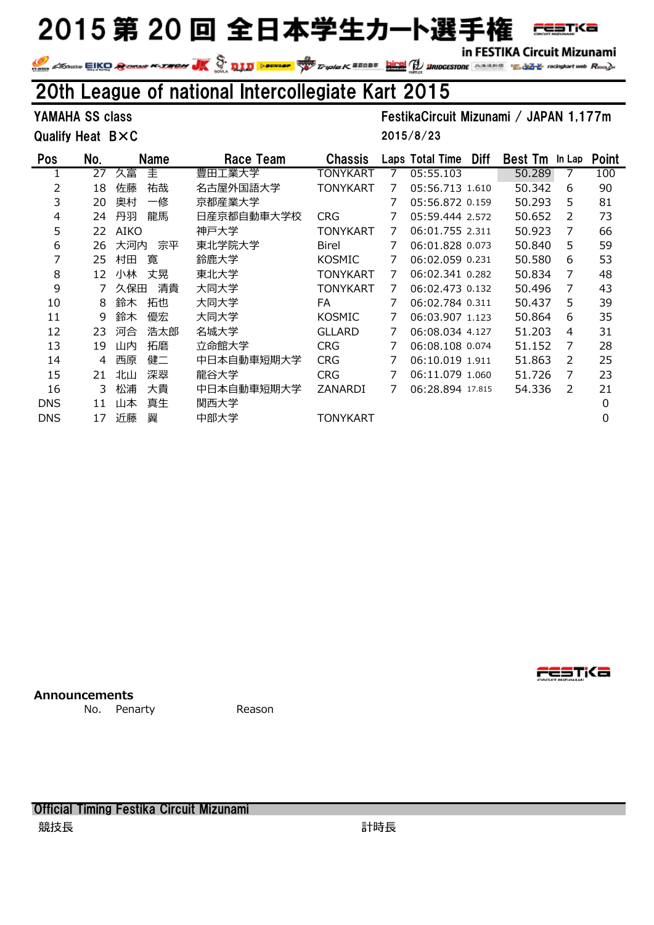in FESTIKA Circuit Mizunami

**FESTKa** 

IN FESTIKA CITCUIT MIZUNAMI<br>Triple K SSADS DES Triple K SSADS (1999) SERIOGESTORE SERIALS TO REGISTAT MORE COMPANY WAS CITCUIT MIZUNAMI Read

#### 20th League of national Intercollegiate Kart 2015

Qualify Heat BXC

YAMAHA SS class FestikaCircuit Mizunami / JAPAN 1,177m

2015/8/23

| Pos        | No. | <b>Name</b> | Race Team  | <b>Chassis</b>  |   | <b>Diff</b><br>Laps Total Time | <b>Best Tm</b> | In Lap        | <b>Point</b> |
|------------|-----|-------------|------------|-----------------|---|--------------------------------|----------------|---------------|--------------|
|            | 27  | 圭<br>久富     | 豊田工業大学     | TONYKART        | 7 | 05:55.103                      | 50.289         |               | 100          |
| 2          | 18  | 祐哉<br>佐藤    | 名古屋外国語大学   | <b>TONYKART</b> | 7 | 05:56.713 1.610                | 50.342         | 6             | 90           |
| 3          | 20  | 一修<br>奥村    | 京都産業大学     |                 |   | 05:56.872 0.159                | 50.293         | 5             | 81           |
| 4          | 24  | 龍馬<br>丹羽    | 日産京都自動車大学校 | <b>CRG</b>      |   | 05:59.444 2.572                | 50.652         | 2             | 73           |
| 5          | 22  | AIKO        | 神戸大学       | TONYKART        | 7 | 06:01.755 2.311                | 50.923         | 7             | 66           |
| 6          | 26  | 宗平<br>大河内   | 東北学院大学     | <b>Birel</b>    | 7 | 06:01.828 0.073                | 50.840         | 5             | 59           |
| 7          | 25  | 寛<br>村田     | 鈴鹿大学       | <b>KOSMIC</b>   |   | 06:02.059 0.231                | 50.580         | 6             | 53           |
| 8          | 12  | 丈晃<br>小林    | 東北大学       | <b>TONYKART</b> | 7 | 06:02.341 0.282                | 50.834         | 7             | 48           |
| 9          |     | 清貴<br>久保田   | 大同大学       | <b>TONYKART</b> | 7 | 06:02.473 0.132                | 50.496         | 7             | 43           |
| 10         | 8   | 鈴木<br>拓也    | 大同大学       | FA              |   | 06:02.784 0.311                | 50.437         | 5.            | 39           |
| 11         | 9   | 鈴木<br>優宏    | 大同大学       | <b>KOSMIC</b>   |   | 06:03.907 1.123                | 50.864         | 6             | 35           |
| 12         | 23  | 河合<br>浩太郎   | 名城大学       | <b>GLLARD</b>   |   | 06:08.034 4.127                | 51,203         | 4             | 31           |
| 13         | 19  | 拓磨<br>山内    | 立命館大学      | <b>CRG</b>      |   | 06:08.108 0.074                | 51.152         | 7             | 28           |
| 14         | 4   | 健二<br>西原    | 中日本自動車短期大学 | <b>CRG</b>      |   | 06:10.019 1.911                | 51.863         | $\mathcal{P}$ | 25           |
| 15         | 21  | 深翠<br>北山    | 龍谷大学       | <b>CRG</b>      |   | 06:11.079 1.060                | 51.726         | 7             | 23           |
| 16         | 3   | 松浦<br>大貴    | 中日本自動車短期大学 | ZANARDI         | 7 | 06:28.894 17.815               | 54.336         | 2             | 21           |
| <b>DNS</b> | 11  | 真生<br>山本    | 関西大学       |                 |   |                                |                |               | 0            |
| <b>DNS</b> | 17  | 近藤<br>翼     | 中部大学       | TONYKART        |   |                                |                |               | 0            |

**Announcements**

No. Penarty **Reason** 

Official Timing Festika Circuit Mizunami 競技長 きょうきょう かんきょう かんきょう かいしょう 計時長 **FESTKa**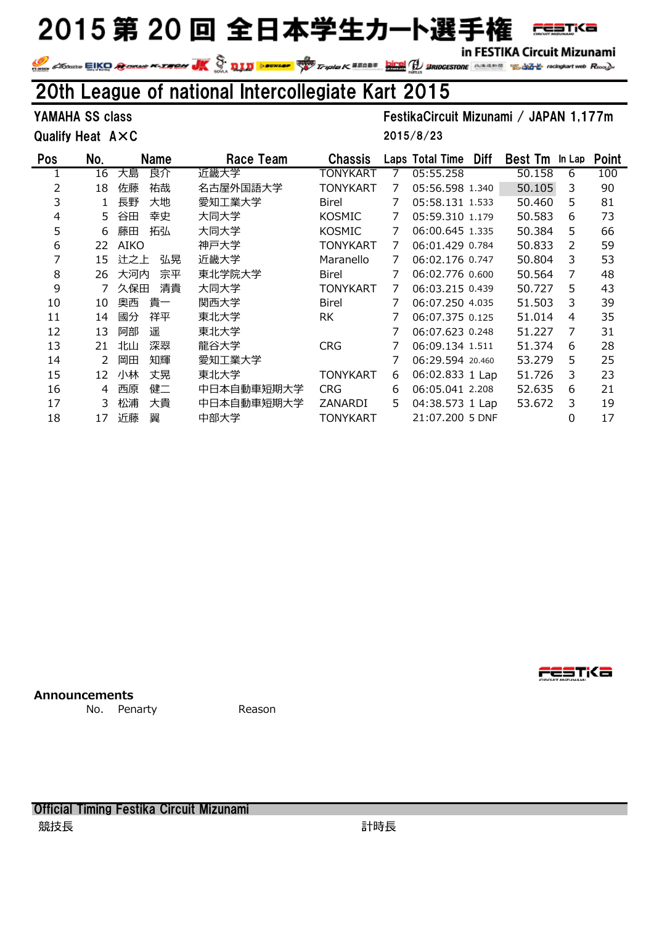in FESTIKA Circuit Mizunami

**FESTKa** 

#### 20th League of national Intercollegiate Kart 2015

Qualify Heat A×C

YAMAHA SS class FestikaCircuit Mizunami / JAPAN 1,177m

2015/8/23

| <b>Pos</b> | No. | <b>Name</b> | Race Team  | <b>Chassis</b>  |   | Laps Total Time  | Diff | <b>Best Tm</b> | In Lap | <b>Point</b> |
|------------|-----|-------------|------------|-----------------|---|------------------|------|----------------|--------|--------------|
|            | 16  | 大島<br>良介    | 近畿大学       | TONYKART        | 7 | 05:55.258        |      | 50.158         | 6      | 100          |
| 2          | 18  | 祐哉<br>佐藤    | 名古屋外国語大学   | TONYKART        | 7 | 05:56.598 1.340  |      | 50.105         | 3      | 90           |
| 3          |     | 長野<br>大地    | 愛知工業大学     | <b>Birel</b>    |   | 05:58.131 1.533  |      | 50.460         | 5      | 81           |
| 4          | 5.  | 幸史<br>谷田    | 大同大学       | <b>KOSMIC</b>   |   | 05:59.310 1.179  |      | 50.583         | 6      | 73           |
| 5          | 6   | 拓弘<br>藤田    | 大同大学       | <b>KOSMIC</b>   | 7 | 06:00.645 1.335  |      | 50.384         | 5      | 66           |
| 6          | 22  | <b>AIKO</b> | 神戸大学       | TONYKART        | 7 | 06:01.429 0.784  |      | 50.833         | 2      | 59           |
| 7          | 15  | 弘晃<br>辻之上   | 近畿大学       | Maranello       | 7 | 06:02.176 0.747  |      | 50.804         | 3      | 53           |
| 8          | 26  | 大河内<br>宗平   | 東北学院大学     | <b>Birel</b>    | 7 | 06:02.776 0.600  |      | 50.564         | 7      | 48           |
| 9          |     | 清貴<br>久保田   | 大同大学       | <b>TONYKART</b> | 7 | 06:03.215 0.439  |      | 50.727         | 5      | 43           |
| 10         | 10  | 奥西<br>貴一    | 関西大学       | <b>Birel</b>    | 7 | 06:07.250 4.035  |      | 51.503         | 3      | 39           |
| 11         | 14  | 祥平<br>國分    | 東北大学       | <b>RK</b>       |   | 06:07.375 0.125  |      | 51.014         | 4      | 35           |
| 12         | 13  | 遥<br>阿部     | 東北大学       |                 |   | 06:07.623 0.248  |      | 51.227         | 7      | 31           |
| 13         | 21  | 深翠<br>北山    | 龍谷大学       | <b>CRG</b>      |   | 06:09.134 1.511  |      | 51.374         | 6      | 28           |
| 14         |     | 岡田<br>知輝    | 愛知工業大学     |                 |   | 06:29.594 20.460 |      | 53.279         | 5      | 25           |
| 15         | 12  | 丈晃<br>小林    | 東北大学       | TONYKART        | 6 | 06:02.833 1 Lap  |      | 51.726         | 3      | 23           |
| 16         | 4   | 健二<br>西原    | 中日本自動車短期大学 | <b>CRG</b>      | 6 | 06:05.041 2.208  |      | 52.635         | 6      | 21           |
| 17         | 3   | 大貴<br>松浦    | 中日本自動車短期大学 | ZANARDI         | 5 | 04:38.573 1 Lap  |      | 53.672         | 3      | 19           |
| 18         | 17  | 翼<br>近藤     | 中部大学       | <b>TONYKART</b> |   | 21:07.200 5 DNF  |      |                | 0      | 17           |

**Announcements**

No. Penarty **Reason** 

Official Timing Festika Circuit Mizunami 競技長 きょうきょう かいしょう かいしょう おおし かいきょう 計時長

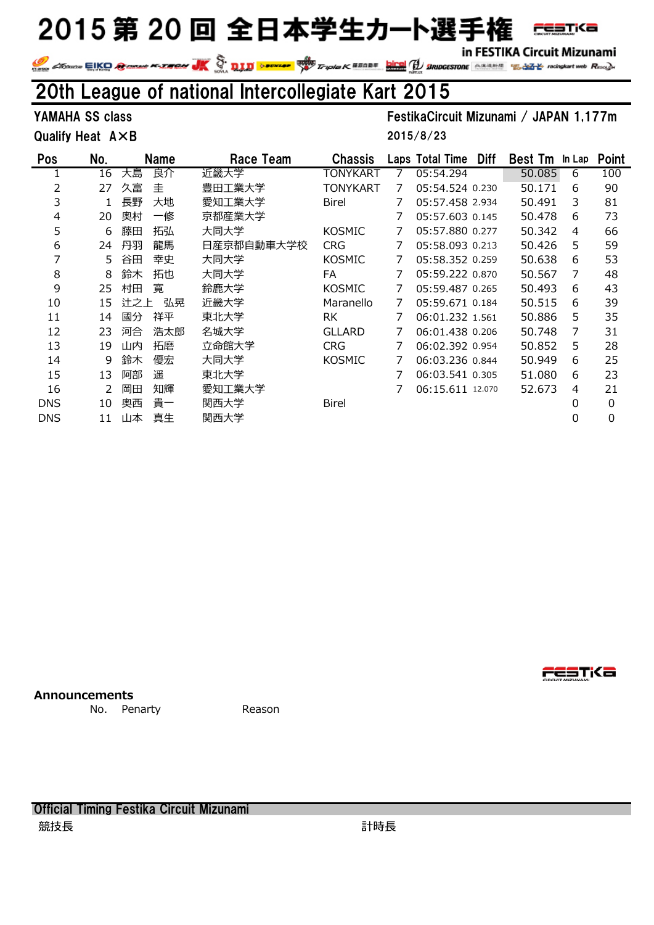in FESTIKA Circuit Mizunami

IN FESTIKA CITCUIT MIZUNAMI<br>Triple K SSADS DES Triple K SSADS (1999) SERIOGESTORE SERIALS TO REGISTAT MORE COMPANY WAS CITCUIT MIZUNAMI Read

#### 20th League of national Intercollegiate Kart 2015

Qualify Heat A×B

YAMAHA SS class FestikaCircuit Mizunami / JAPAN 1,177m 2015/8/23

| <b>Pos</b> | No. |     | <b>Name</b> | Race Team  | <b>Chassis</b> |   | Laps Total Time  | <b>Diff</b> | <b>Best Tm</b> | In Lap | <b>Point</b> |
|------------|-----|-----|-------------|------------|----------------|---|------------------|-------------|----------------|--------|--------------|
|            | 16  | 大島  | 良介          | 近畿大学       | TONYKART       |   | 05:54.294        |             | 50.085         | 6      | 100          |
| 2          | 27  | 久富  | 圭           | 豊田工業大学     | TONYKART       | 7 | 05:54.524 0.230  |             | 50.171         | 6      | 90           |
| 3          |     | 長野  | 大地          | 愛知工業大学     | <b>Birel</b>   | 7 | 05:57.458 2.934  |             | 50.491         | 3      | 81           |
| 4          | 20  | 奥村  | 一修          | 京都産業大学     |                |   | 05:57.603 0.145  |             | 50.478         | 6      | 73           |
| 5          | 6   | 藤田  | 拓弘          | 大同大学       | <b>KOSMIC</b>  | 7 | 05:57.880 0.277  |             | 50.342         | 4      | 66           |
| 6          | 24  | 丹羽  | 龍馬          | 日産京都自動車大学校 | <b>CRG</b>     |   | 05:58.093 0.213  |             | 50.426         | 5      | 59           |
| 7          | 5.  | 谷田  | 幸史          | 大同大学       | <b>KOSMIC</b>  |   | 05:58.352 0.259  |             | 50.638         | 6      | 53           |
| 8          | 8   | 鈴木  | 拓也          | 大同大学       | FA             |   | 05:59.222 0.870  |             | 50.567         | 7      | 48           |
| 9          | 25  | 村田  | 寛           | 鈴鹿大学       | <b>KOSMIC</b>  | 7 | 05:59.487 0.265  |             | 50.493         | 6      | 43           |
| 10         | 15  | 计之上 | 弘晃          | 近畿大学       | Maranello      | 7 | 05:59.671 0.184  |             | 50.515         | 6      | 39           |
| 11         | 14  | 國分  | 祥平          | 東北大学       | <b>RK</b>      | 7 | 06:01.232 1.561  |             | 50.886         | 5      | 35           |
| 12         | 23  | 河合  | 浩太郎         | 名城大学       | <b>GLLARD</b>  |   | 06:01.438 0.206  |             | 50.748         | 7      | 31           |
| 13         | 19  | 山内  | 拓磨          | 立命館大学      | <b>CRG</b>     |   | 06:02.392 0.954  |             | 50.852         | 5      | 28           |
| 14         | 9   | 鈴木  | 優宏          | 大同大学       | <b>KOSMIC</b>  |   | 06:03.236 0.844  |             | 50.949         | 6      | 25           |
| 15         | 13  | 阿部  | 遥           | 東北大学       |                |   | 06:03.541 0.305  |             | 51.080         | 6      | 23           |
| 16         | 2   | 岡田  | 知輝          | 愛知工業大学     |                |   | 06:15.611 12.070 |             | 52.673         | 4      | 21           |
| <b>DNS</b> | 10  | 奥西  | 貴一          | 関西大学       | <b>Birel</b>   |   |                  |             |                | 0      | 0            |
| <b>DNS</b> | 11  | 山本  | 真生          | 関西大学       |                |   |                  |             |                | 0      | 0            |

**Announcements**

No. Penarty **Reason** 



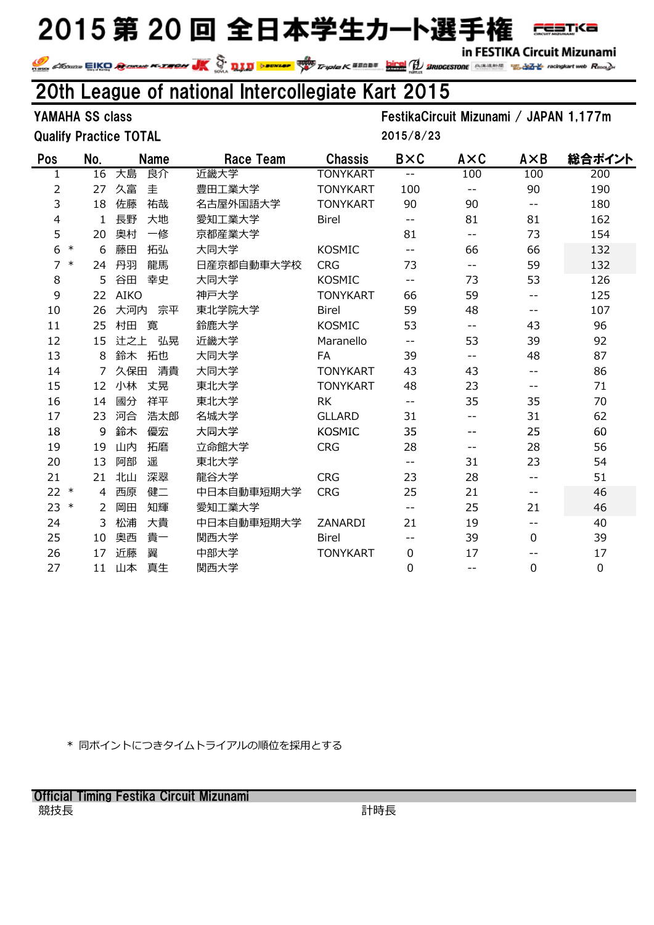in FESTIKA Circuit Mizunami

**FESTKA** 

#### 20th League of national Intercollegiate Kart 2015

Qualify Practice TOTAL

YAMAHA SS class FestikaCircuit Mizunami / JAPAN 1,177m

2015/8/23

|                                             |                                                                                                                                                                    | <b>Race Team</b>                                | <b>Chassis</b>  | <b>B</b> ×C | AXC   | AXB               | 総合ポイント      |
|---------------------------------------------|--------------------------------------------------------------------------------------------------------------------------------------------------------------------|-------------------------------------------------|-----------------|-------------|-------|-------------------|-------------|
| 大島                                          | 良介                                                                                                                                                                 | 近畿大学                                            | <b>TONYKART</b> | $- -$       | 100   | 100               | 200         |
| 久富                                          | 圭                                                                                                                                                                  | 豊田工業大学                                          | <b>TONYKART</b> | 100         | --    | 90                | 190         |
| 佐藤                                          | 祐哉                                                                                                                                                                 | 名古屋外国語大学                                        | <b>TONYKART</b> | 90          | 90    | $- -$             | 180         |
| 長野                                          | 大地                                                                                                                                                                 | 愛知工業大学                                          | <b>Birel</b>    | $-$         | 81    | 81                | 162         |
| 奥村                                          | 一修                                                                                                                                                                 | 京都産業大学                                          |                 | 81          | $-$   | 73                | 154         |
| 藤田                                          | 拓弘                                                                                                                                                                 | 大同大学                                            | <b>KOSMIC</b>   | $-$         | 66    | 66                | 132         |
| 丹羽                                          | 龍馬                                                                                                                                                                 | 日産京都自動車大学校                                      | <b>CRG</b>      | 73          | $-$   | 59                | 132         |
| 谷田                                          | 幸史                                                                                                                                                                 | 大同大学                                            | <b>KOSMIC</b>   | $- -$       | 73    | 53                | 126         |
|                                             |                                                                                                                                                                    | 神戸大学                                            | <b>TONYKART</b> | 66          | 59    | $- -$             | 125         |
|                                             | 宗平                                                                                                                                                                 | 東北学院大学                                          | <b>Birel</b>    | 59          | 48    | $\qquad \qquad -$ | 107         |
| 村田                                          | 寛                                                                                                                                                                  | 鈴鹿大学                                            | <b>KOSMIC</b>   | 53          | $-$   | 43                | 96          |
|                                             | 弘晃                                                                                                                                                                 | 近畿大学                                            | Maranello       | $- -$       | 53    | 39                | 92          |
| 給木                                          | 拓也                                                                                                                                                                 | 大同大学                                            | <b>FA</b>       | 39          | $- -$ | 48                | 87          |
|                                             | 清貴                                                                                                                                                                 | 大同大学                                            | <b>TONYKART</b> | 43          | 43    | $- -$             | 86          |
| 小林                                          | 丈晃                                                                                                                                                                 | 東北大学                                            | <b>TONYKART</b> | 48          | 23    | $- -$             | 71          |
| 國分                                          | 祥平                                                                                                                                                                 | 東北大学                                            | <b>RK</b>       | $- -$       | 35    | 35                | 70          |
| 河合                                          | 浩太郎                                                                                                                                                                | 名城大学                                            | <b>GLLARD</b>   | 31          | $- -$ | 31                | 62          |
| 鈴木                                          | 優宏                                                                                                                                                                 | 大同大学                                            | <b>KOSMIC</b>   | 35          | --    | 25                | 60          |
| 山内                                          | 拓磨                                                                                                                                                                 | 立命館大学                                           | <b>CRG</b>      | 28          | $- -$ | 28                | 56          |
| 阿部                                          | 遥                                                                                                                                                                  | 東北大学                                            |                 | $- -$       | 31    | 23                | 54          |
| 北山                                          | 深翠                                                                                                                                                                 | 龍谷大学                                            | <b>CRG</b>      | 23          | 28    | $- -$             | 51          |
| 西原                                          | 健二                                                                                                                                                                 | 中日本自動車短期大学                                      | <b>CRG</b>      | 25          | 21    | $\qquad \qquad -$ | 46          |
| 岡田                                          | 知輝                                                                                                                                                                 | 愛知工業大学                                          |                 | $- -$       | 25    | 21                | 46          |
| 松浦                                          | 大貴                                                                                                                                                                 | 中日本自動車短期大学                                      | ZANARDI         | 21          | 19    | $- -$             | 40          |
| 奥西                                          | 貴一                                                                                                                                                                 | 関西大学                                            | <b>Birel</b>    | --          | 39    | 0                 | 39          |
| 沂藤                                          | 翼                                                                                                                                                                  | 中部大学                                            | <b>TONYKART</b> | 0           | 17    | --                | 17          |
| 山本                                          | 真生                                                                                                                                                                 | 関西大学                                            |                 | 0           | $- -$ | 0                 | $\mathbf 0$ |
| No.<br>$\ast$<br>$\ast$<br>$\ast$<br>$\ast$ | $\overline{16}$<br>27<br>18<br>1<br>20<br>6<br>24<br>5<br>22<br>26<br>25<br>15<br>8<br>7<br>12<br>14<br>23<br>9<br>19<br>13<br>21<br>4<br>2<br>3<br>10<br>17<br>11 | <b>Name</b><br><b>AIKO</b><br>大河内<br>辻之上<br>久保田 |                 |             |       |                   |             |

\* 同ポイントにつきタイムトライアルの順位を採用とする